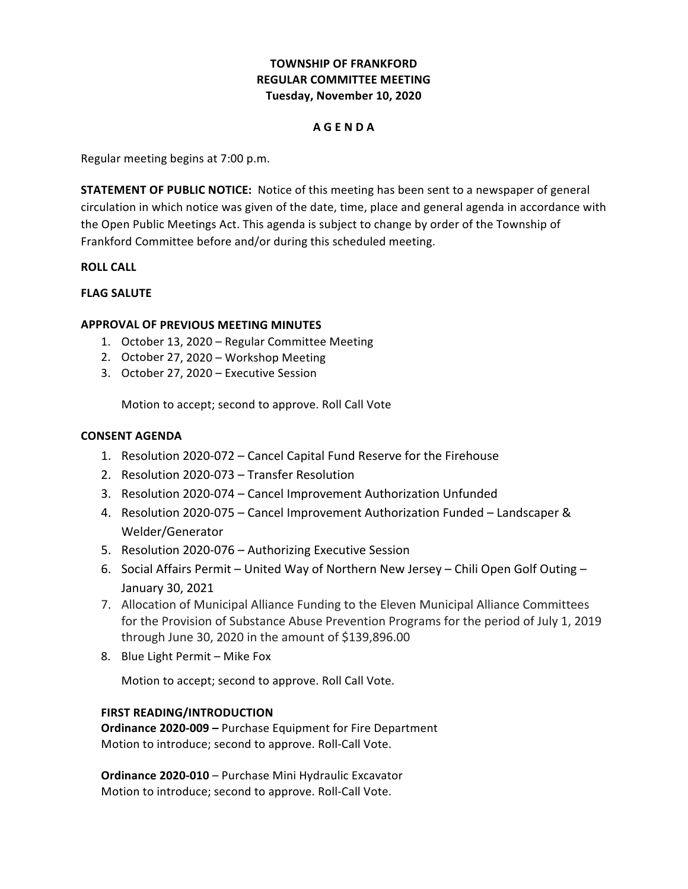# **TOWNSHIP OF FRANKFORD REGULAR COMMITTEE MEETING Tuesday, November 10, 2020**

## **A G E N D A**

 Regular meeting begins at 7:00 p.m.

**STATEMENT OF PUBLIC NOTICE:** Notice of this meeting has been sent to a newspaper of general circulation in which notice was given of the date, time, place and general agenda in accordance with the Open Public Meetings Act. This agenda is subject to change by order of the Township of Frankford Committee before and/or during this scheduled meeting.

## **ROLL CALL**

# **FLAG SALUTE**

# **APPROVAL OF PREVIOUS MEETING MINUTES**

- 1. October 13, 2020 Regular Committee Meeting
- 2. October 27, 2020 Workshop Meeting
- 3. October 27, 2020 Executive Session

Motion to accept; second to approve. Roll Call Vote

## **CONSENT AGENDA**

- 1. Resolution 2020-072 Cancel Capital Fund Reserve for the Firehouse
- 2. Resolution 2020-073 Transfer Resolution
- 3. Resolution 2020-074 Cancel Improvement Authorization Unfunded
- 4. Resolution 2020-075 Cancel Improvement Authorization Funded Landscaper & Welder/Generator
- 5. Resolution 2020-076 Authorizing Executive Session
- 6. Social Affairs Permit United Way of Northern New Jersey Chili Open Golf Outing January 30, 2021
- 7. Allocation of Municipal Alliance Funding to the Eleven Municipal Alliance Committees for the Provision of Substance Abuse Prevention Programs for the period of July 1, 2019 through June 30, 2020 in the amount of \$139,896.00
- 8. Blue Light Permit Mike Fox

Motion to accept; second to approve. Roll Call Vote.

# **FIRST READING/INTRODUCTION**

**Ordinance 2020-009 - Purchase Equipment for Fire Department**  Motion to introduce; second to approve. Roll-Call Vote.

 **Ordinance 2020-010** – Purchase Mini Hydraulic Excavator Motion to introduce; second to approve. Roll-Call Vote.